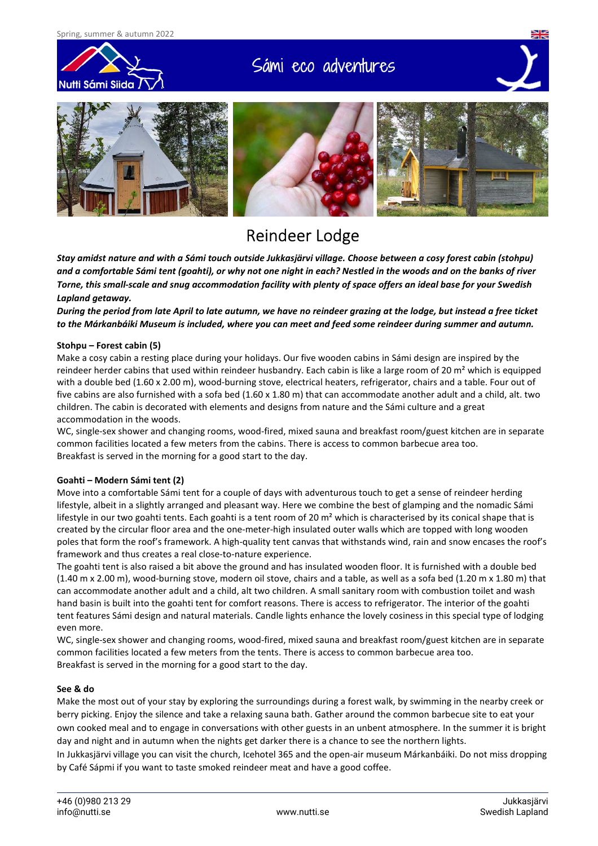

# Sámi eco adventures



## Reindeer Lodge

*Stay amidst nature and with a Sámi touch outside Jukkasjärvi village. Choose between a cosy forest cabin (stohpu) and a comfortable Sámi tent (goahti), or why not one night in each? Nestled in the woods and on the banks of river Torne, this small-scale and snug accommodation facility with plenty of space offers an ideal base for your Swedish Lapland getaway.* 

*During the period from late April to late autumn, we have no reindeer grazing at the lodge, but instead a free ticket to the Márkanbáiki Museum is included, where you can meet and feed some reindeer during summer and autumn.* 

### **Stohpu – Forest cabin (5)**

Make a cosy cabin a resting place during your holidays. Our five wooden cabins in Sámi design are inspired by the reindeer herder cabins that used within reindeer husbandry. Each cabin is like a large room of 20 m<sup>2</sup> which is equipped with a double bed (1.60 x 2.00 m), wood-burning stove, electrical heaters, refrigerator, chairs and a table. Four out of five cabins are also furnished with a sofa bed  $(1.60 \times 1.80 \text{ m})$  that can accommodate another adult and a child, alt. two children. The cabin is decorated with elements and designs from nature and the Sámi culture and a great accommodation in the woods.

WC, single-sex shower and changing rooms, wood-fired, mixed sauna and breakfast room/guest kitchen are in separate common facilities located a few meters from the cabins. There is access to common barbecue area too. Breakfast is served in the morning for a good start to the day.

### **Goahti – Modern Sámi tent (2)**

Move into a comfortable Sámi tent for a couple of days with adventurous touch to get a sense of reindeer herding lifestyle, albeit in a slightly arranged and pleasant way. Here we combine the best of glamping and the nomadic Sámi lifestyle in our two goahti tents. Each goahti is a tent room of 20  $m<sup>2</sup>$  which is characterised by its conical shape that is created by the circular floor area and the one-meter-high insulated outer walls which are topped with long wooden poles that form the roof's framework. A high-quality tent canvas that withstands wind, rain and snow encases the roof's framework and thus creates a real close-to-nature experience.

The goahti tent is also raised a bit above the ground and has insulated wooden floor. It is furnished with a double bed (1.40 m x 2.00 m), wood-burning stove, modern oil stove, chairs and a table, as well as a sofa bed (1.20 m x 1.80 m) that can accommodate another adult and a child, alt two children. A small sanitary room with combustion toilet and wash hand basin is built into the goahti tent for comfort reasons. There is access to refrigerator. The interior of the goahti tent features Sámi design and natural materials. Candle lights enhance the lovely cosiness in this special type of lodging even more.

WC, single-sex shower and changing rooms, wood-fired, mixed sauna and breakfast room/guest kitchen are in separate common facilities located a few meters from the tents. There is access to common barbecue area too. Breakfast is served in the morning for a good start to the day.

### **See & do**

Make the most out of your stay by exploring the surroundings during a forest walk, by swimming in the nearby creek or berry picking. Enjoy the silence and take a relaxing sauna bath. Gather around the common barbecue site to eat your own cooked meal and to engage in conversations with other guests in an unbent atmosphere. In the summer it is bright day and night and in autumn when the nights get darker there is a chance to see the northern lights.

In Jukkasjärvi village you can visit the church, Icehotel 365 and the open-air museum Márkanbáiki. Do not miss dropping by Café Sápmi if you want to taste smoked reindeer meat and have a good coffee.